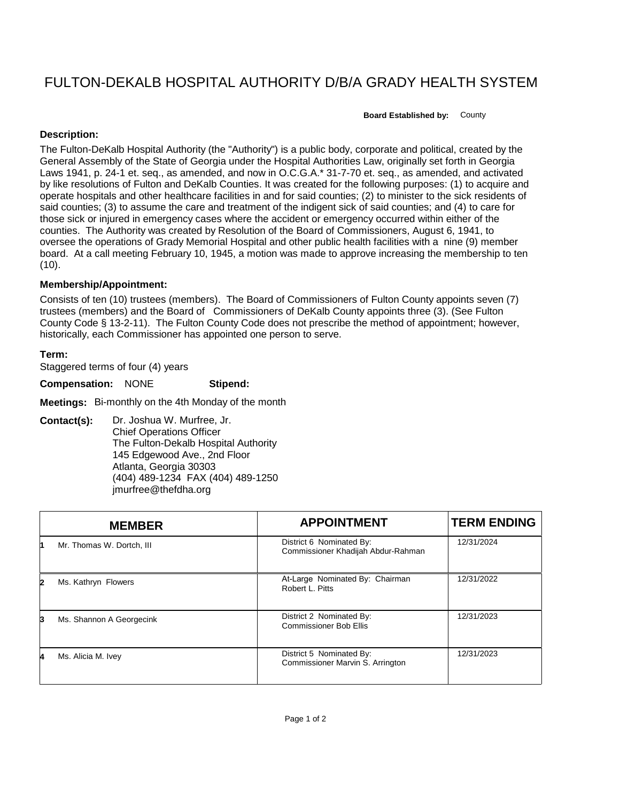## FULTON-DEKALB HOSPITAL AUTHORITY D/B/A GRADY HEALTH SYSTEM

**Board Established by:** County

## **Description:**

The Fulton-DeKalb Hospital Authority (the "Authority") is a public body, corporate and political, created by the General Assembly of the State of Georgia under the Hospital Authorities Law, originally set forth in Georgia Laws 1941, p. 24-1 et. seq., as amended, and now in O.C.G.A.\* 31-7-70 et. seq., as amended, and activated by like resolutions of Fulton and DeKalb Counties. It was created for the following purposes: (1) to acquire and operate hospitals and other healthcare facilities in and for said counties; (2) to minister to the sick residents of said counties; (3) to assume the care and treatment of the indigent sick of said counties; and (4) to care for those sick or injured in emergency cases where the accident or emergency occurred within either of the counties. The Authority was created by Resolution of the Board of Commissioners, August 6, 1941, to oversee the operations of Grady Memorial Hospital and other public health facilities with a nine (9) member board. At a call meeting February 10, 1945, a motion was made to approve increasing the membership to ten  $(10)$ .

## **Membership/Appointment:**

Consists of ten (10) trustees (members). The Board of Commissioners of Fulton County appoints seven (7) trustees (members) and the Board of Commissioners of DeKalb County appoints three (3). (See Fulton County Code § 13-2-11). The Fulton County Code does not prescribe the method of appointment; however, historically, each Commissioner has appointed one person to serve.

## **Term:**

Staggered terms of four (4) years

**Compensation:** NONE **Stipend:**

**Meetings:** Bi-monthly on the 4th Monday of the month

**Contact(s):** Dr. Joshua W. Murfree, Jr. Chief Operations Officer The Fulton-Dekalb Hospital Authority 145 Edgewood Ave., 2nd Floor Atlanta, Georgia 30303 (404) 489-1234 FAX (404) 489-1250 jmurfree@thefdha.org

|   | <b>MEMBER</b>             | <b>APPOINTMENT</b>                                             | <b>TERM ENDING</b> |
|---|---------------------------|----------------------------------------------------------------|--------------------|
|   | Mr. Thomas W. Dortch, III | District 6 Nominated By:<br>Commissioner Khadijah Abdur-Rahman | 12/31/2024         |
| 2 | Ms. Kathryn Flowers       | At-Large Nominated By: Chairman<br>Robert L. Pitts             | 12/31/2022         |
| 3 | Ms. Shannon A Georgecink  | District 2 Nominated By:<br><b>Commissioner Bob Ellis</b>      | 12/31/2023         |
| 4 | Ms. Alicia M. Ivey        | District 5 Nominated By:<br>Commissioner Marvin S. Arrington   | 12/31/2023         |